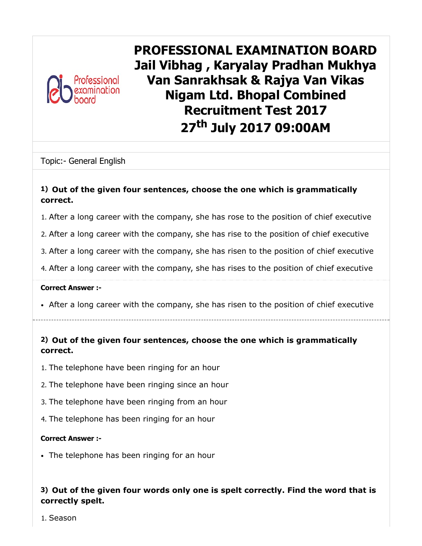

PROFESSIONAL EXAMINATION BOARD Jail Vibhag , Karyalay Pradhan Mukhya Van Sanrakhsak & Rajya Van Vikas Nigam Ltd. Bhopal Combined Recruitment Test 2017 27<sup>th</sup> July 2017 09:00AM

Topic:- General English

#### 1) Out of the given four sentences, choose the one which is grammatically correct.

1. After a long career with the company, she has rose to the position of chief executive

2. After a long career with the company, she has rise to the position of chief executive

3. After a long career with the company, she has risen to the position of chief executive

4. After a long career with the company, she has rises to the position of chief executive

Correct Answer :-

After a long career with the company, she has risen to the position of chief executive

#### 2) Out of the given four sentences, choose the one which is grammatically correct.

- 1. The telephone have been ringing for an hour
- 2. The telephone have been ringing since an hour
- 3. The telephone have been ringing from an hour
- 4. The telephone has been ringing for an hour

#### Correct Answer :-

The telephone has been ringing for an hour

#### 3) Out of the given four words only one is spelt correctly. Find the word that is correctly spelt.

1. Season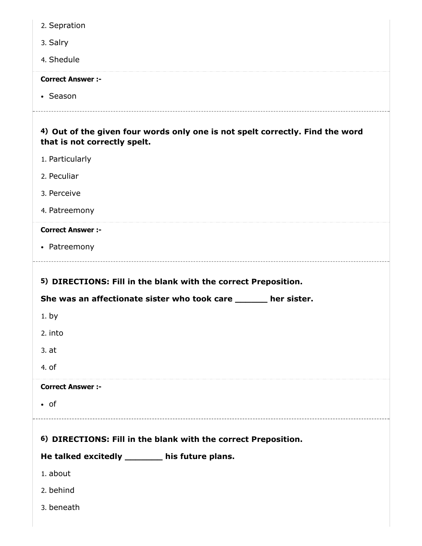| 2. Sepration                                                                                                  |
|---------------------------------------------------------------------------------------------------------------|
| 3. Salry                                                                                                      |
| 4. Shedule                                                                                                    |
| <b>Correct Answer :-</b>                                                                                      |
| • Season                                                                                                      |
| 4) Out of the given four words only one is not spelt correctly. Find the word<br>that is not correctly spelt. |
| 1. Particularly                                                                                               |
| 2. Peculiar                                                                                                   |
| 3. Perceive                                                                                                   |
| 4. Patreemony                                                                                                 |
| <b>Correct Answer :-</b>                                                                                      |
| • Patreemony                                                                                                  |
|                                                                                                               |
| 5) DIRECTIONS: Fill in the blank with the correct Preposition.                                                |
| She was an affectionate sister who took care ______ her sister.                                               |
| 1. by                                                                                                         |
| 2. into<br>3.at                                                                                               |
| 4. of                                                                                                         |
| <b>Correct Answer :-</b>                                                                                      |
| $\bullet$ of                                                                                                  |
| 6) DIRECTIONS: Fill in the blank with the correct Preposition.                                                |
| He talked excitedly _______ his future plans.                                                                 |
| 1. about                                                                                                      |
| 2. behind                                                                                                     |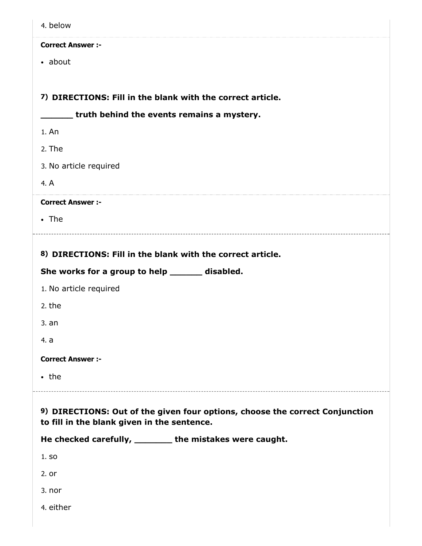| 4. below                                                                                                                    |
|-----------------------------------------------------------------------------------------------------------------------------|
| <b>Correct Answer :-</b>                                                                                                    |
| • about                                                                                                                     |
|                                                                                                                             |
| 7) DIRECTIONS: Fill in the blank with the correct article.                                                                  |
| ___ truth behind the events remains a mystery.                                                                              |
| 1. An                                                                                                                       |
| 2. The                                                                                                                      |
| 3. No article required                                                                                                      |
| 4. A                                                                                                                        |
| <b>Correct Answer :-</b>                                                                                                    |
| $\cdot$ The                                                                                                                 |
|                                                                                                                             |
| 8) DIRECTIONS: Fill in the blank with the correct article.                                                                  |
| She works for a group to help ______ disabled.                                                                              |
| 1. No article required                                                                                                      |
| 2. the                                                                                                                      |
| 3. an                                                                                                                       |
| 4. a                                                                                                                        |
| <b>Correct Answer :-</b>                                                                                                    |
| $\cdot$ the                                                                                                                 |
|                                                                                                                             |
| 9) DIRECTIONS: Out of the given four options, choose the correct Conjunction<br>to fill in the blank given in the sentence. |
| He checked carefully, ________ the mistakes were caught.                                                                    |
| 1. SO                                                                                                                       |
| 2. or                                                                                                                       |
| 3. nor                                                                                                                      |
| 4. either                                                                                                                   |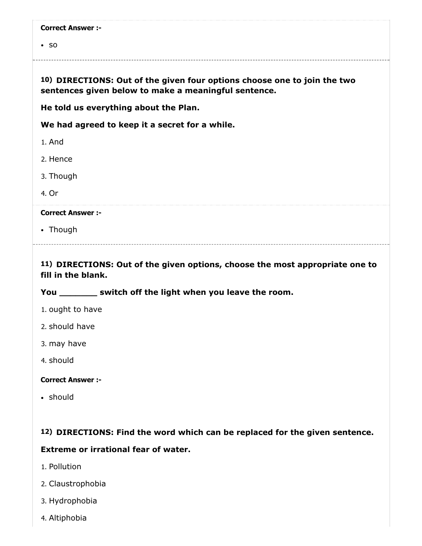$\cdot$  so

#### 10) DIRECTIONS: Out of the given four options choose one to join the two sentences given below to make a meaningful sentence.

He told us everything about the Plan.

We had agreed to keep it a secret for a while.

1. And

2. Hence

3. Though

4. Or

#### Correct Answer :-

• Though

#### 11) DIRECTIONS: Out of the given options, choose the most appropriate one to fill in the blank.

#### You \_\_\_\_\_\_\_\_\_ switch off the light when you leave the room.

- 1. ought to have
- 2. should have
- 3. may have
- 4. should

#### Correct Answer :-

• should

#### 12) DIRECTIONS: Find the word which can be replaced for the given sentence.

#### Extreme or irrational fear of water.

- 1. Pollution
- 2. Claustrophobia
- 3. Hydrophobia
- 4. Altiphobia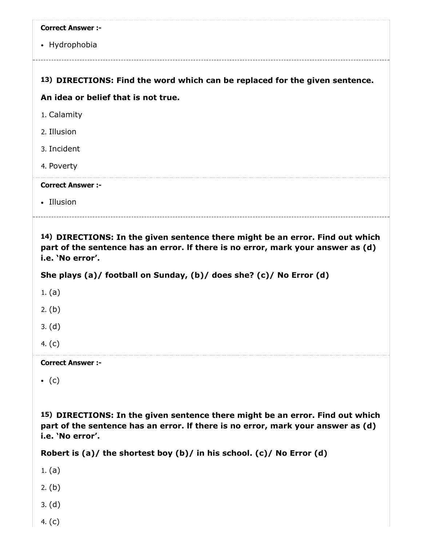| <b>Correct Answer :-</b>                                                                              |
|-------------------------------------------------------------------------------------------------------|
| • Hydrophobia                                                                                         |
|                                                                                                       |
| 13) DIRECTIONS: Find the word which can be replaced for the given sentence.                           |
| An idea or belief that is not true.                                                                   |
| 1. Calamity                                                                                           |
| 2. Illusion                                                                                           |
| 3. Incident                                                                                           |
| 4. Poverty                                                                                            |
| <b>Correct Answer :-</b>                                                                              |
| • Illusion                                                                                            |
|                                                                                                       |
| 14) BIBFCTIONC, In the sheep contours these might he $\cdot$<br>والماليان والمتحول المتمرات والمستحدد |

14) DIRECTIONS: In the given sentence there might be an error. Find out which part of the sentence has an error. lf there is no error, mark your answer as (d) i.e. 'No error'.

She plays (a)/ football on Sunday, (b)/ does she? (c)/ No Error (d)

1. (a)

2. (b)

3. (d)

4. (c)

Correct Answer :-

 $\bullet$  (c)

15) DIRECTIONS: In the given sentence there might be an error. Find out which part of the sentence has an error. lf there is no error, mark your answer as (d) i.e. 'No error'.

Robert is (a)/ the shortest boy (b)/ in his school. (c)/ No Error (d)

1. (a)

2. (b)

- 3. (d)
- 4. (c)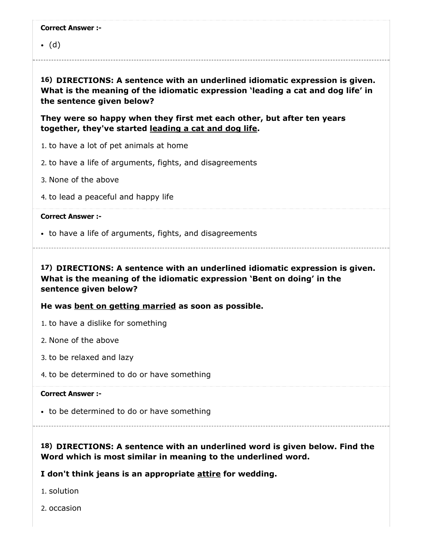$\bullet$  (d)

16) DIRECTIONS: A sentence with an underlined idiomatic expression is given. What is the meaning of the idiomatic expression 'leading a cat and dog life' in the sentence given below?

They were so happy when they first met each other, but after ten years together, they've started leading a cat and dog life.

- 1. to have a lot of pet animals at home
- 2. to have a life of arguments, fights, and disagreements
- 3. None of the above
- 4. to lead a peaceful and happy life

#### Correct Answer :-

to have a life of arguments, fights, and disagreements

17) DIRECTIONS: A sentence with an underlined idiomatic expression is given. What is the meaning of the idiomatic expression 'Bent on doing' in the sentence given below?

He was bent on getting married as soon as possible.

- 1. to have a dislike for something
- 2. None of the above
- 3. to be relaxed and lazy
- 4. to be determined to do or have something

#### Correct Answer :-

• to be determined to do or have something

18) DIRECTIONS: A sentence with an underlined word is given below. Find the Word which is most similar in meaning to the underlined word.

#### I don't think jeans is an appropriate attire for wedding.

1. solution

2. occasion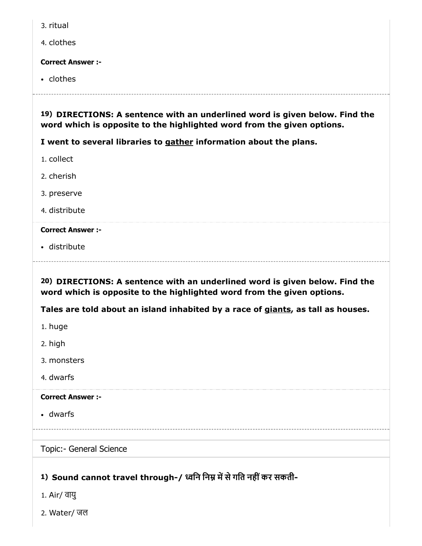- 3. ritual
- 4. clothes

• clothes

19) DIRECTIONS: A sentence with an underlined word is given below. Find the word which is opposite to the highlighted word from the given options.

I went to several libraries to gather information about the plans.

- 1. collect
- 2. cherish
- 3. preserve
- 4. distribute

#### Correct Answer :-

distribute

20) DIRECTIONS: A sentence with an underlined word is given below. Find the word which is opposite to the highlighted word from the given options.

Tales are told about an island inhabited by a race of giants, as tall as houses.

- 1. huge
- 2. high
- 3. monsters
- 4. dwarfs

#### Correct Answer :-

dwarfs

#### Topic:- General Science

# 1) Sound cannot travel through-/ ध्वनि निम्न में से गति नहीं कर सकती-

- 1. Air/ वायु
- 2. Water/ जल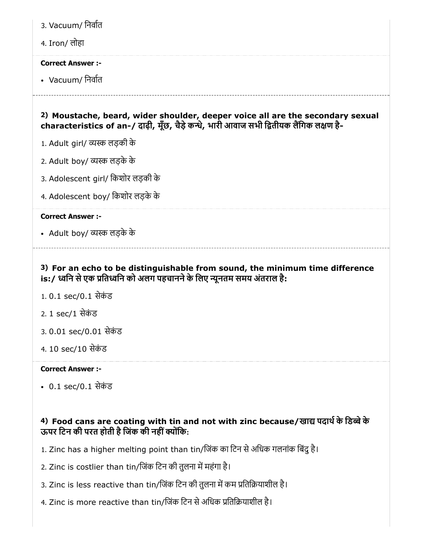- 3. Vacuum/ िनवात
- 4. Iron/ लोहा

• Vacuum/ निर्वात

# 2) Moustache, beard, wider shoulder, deeper voice all are the secondary sexual characteristics of an-/ दाढ़ी, मूँछ, चैड़े कन्धे, भारी आवाज सभी द्वितीयक लैंगिक लक्षण है-

- 1. Adult girl/ लड़की के
- 2. Adult boy/ लड़के के
- 3. Adolescent girl/ िकशोर लड़की के
- 4. Adolescent boy/ िकशोर लड़के के

#### Correct Answer :-

• Adult boy/ व्यस्क लड़के के

## 3) For an echo to be distinguishable from sound, the minimum time difference is:/ ध्वनि से एक प्रतिध्वनि को अलग पहचानने के लिए न्यूनतम समय अंतराल है:

- 1.0.1 sec/0.1 सेकंड
- 2. 1 sec/1 सेकंड
- 3.0.01 sec/0.01 सेकंड
- 4. 10 sec/10 सेकंड

#### Correct Answer :-

• 0.1 sec/0.1 सेकंड

# 4) Food cans are coating with tin and not with zinc because/खाद्य पदार्थ के डिब्बे के ऊपर टिन की परत होती है जिंक की नहीं क्योंकि:

- 1. Zinc has a higher melting point than tin/जिंक का टिन से अधिक गलनांक बिंदु है।
- 2. Zinc is costlier than tin/जिंक टिन की तुलना में महंगा है।
- 3. Zinc is less reactive than tin/जिंक टिन की तुलना में कम प्रतिक्रियाशील है।
- 4. Zinc is more reactive than tin/जिंक टिन से अधिक प्रतिक्रियाशील है।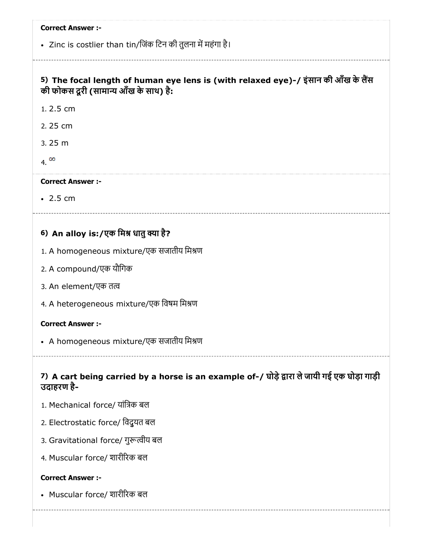• Zinc is costlier than tin/जिंक टिन की तुलना में महंगा है।

# 5) The focal length of human eye lens is (with relaxed eye)-/ इंसान की आँख के लैंस की फोकस दूरी (सामान्य आँख के साथ) है:

1. 2.5 cm

2. 25 cm

3. 25 m

4. $\infty$ 

#### Correct Answer :-

 $-2.5 cm$ 

# 6) An alloy is:/एक मिश्र धातु क्या है?

- 1. A homogeneous mixture/एक सजातीय मिश्रण
- 2. A compound/एक यौिगक
- 3. An element/एक त
- 4. A heterogeneous mixture/एक िवषम िमण

#### Correct Answer :-

• A homogeneous mixture/एक सजातीय मिश्रण

## 7) A cart being carried by a horse is an example of-/ घोड़े द्वारा ले जायी गई एक घोड़ा गाड़ी उदाहरण है-

- 1. Mechanical force/ यांिक बल
- 2. Electrostatic force/ िवद्ुयत बल
- 3. Gravitational force/ गुरूत्वीय बल
- 4. Muscular force/ शारीरक बल

#### Correct Answer :-

Muscular force/ शारीरक बल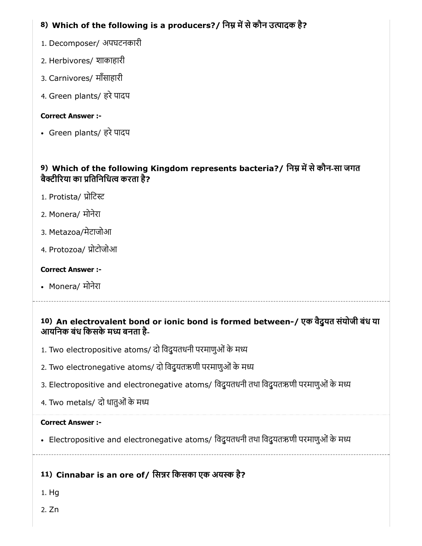# 8) Which of the following is a producers?/ निम्न में से कौन उत्पादक है?

- 1. Decomposer/ अपघटनकारी
- 2. Herbivores/ शाकाहारी
- 3. Carnivores/ माँसाहारी
- 4. Green plants/ हरे पादप

# Correct Answer :-

• Green plants/ हरे पादप

# 9) Which of the following Kingdom represents bacteria?/ निम्न में से कौन-सा जगत बैक्टीरिया का प्रतिनिधित्व करता है?

- 1. Protista/ प्रोटिस्ट
- 2. Monera/ मोनेरा
- 3. Metazoa/मेटाजोआ
- 4. Protozoa/ प्रोटोजोआ

# Correct Answer :-

• Monera/ मोनेरा

# 10) An electrovalent bond or ionic bond is formed between-/ एक वैद्ुयत संयोजी बंध या आयनिक बंध किसके मध्य बनता है-

- 1. Two electropositive atoms/ दो विदुयतधनी परमाणुओं के मध्य
- 2. Two electronegative atoms/ दो विदुयतऋणी परमाणुओं के मध्य
- 3. Electropositive and electronegative atoms/ विदुयतधनी तथा विदुयतऋणी परमाणुओं के मध्य
- 4. Two metals/ दो धातुओं के मध्य

# Correct Answer :-

• Electropositive and electronegative atoms/ विदुयतधनी तथा विदुयतऋणी परमाणुओं के मध्य

# 11) Cinnabar is an ore of/ सिन्नर किसका एक अयस्क है?

- 1. Hg
- 2. Zn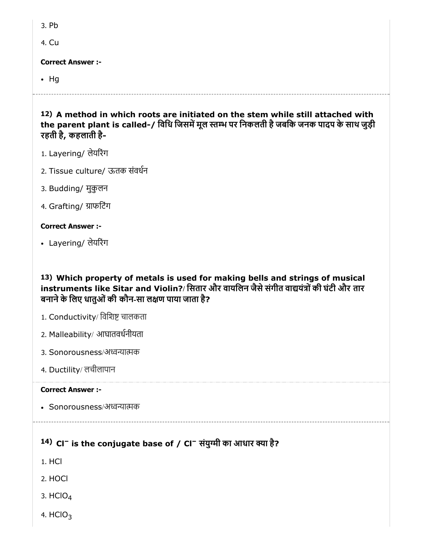4. Cu

Correct Answer :-

 $\cdot$  Hg

12) A method in which roots are initiated on the stem while still attached with the parent plant is called-/ विधि जिसमें मूल स्तम्भ पर निकलती है जबकि जनक पादप के साथ जुड़ी रहती है, कहलाती है-

- 1. Layering/ लेयरंग
- 2. Tissue culture/ ऊतक संवधन
- 3. Budding/ मुकुलन
- 4. Grafting/ ाफिटंग

#### Correct Answer :-

Layering/ लेयरंग

13) Which property of metals is used for making bells and strings of musical instruments like Sitar and Violin?/ सितार और वायलिन जैसे संगीत वाद्ययंत्रों की घंटी और तार बनाने के लिए धातुओं की कौन-सा लक्षण पाया जाता है?

- 1. Conductivity/ विशिष्ट चालकता
- 2. Malleability/ आघातवधनीयता
- 3. Sonorousness/अध्वन्यात्मक
- 4. Ductility/ लचीलापान

#### Correct Answer :-

• Sonorousness/अध्वन्यात्मक

# $14)$  Cl $^-$  is the conjugate base of / Cl $^-$  संयुग्मी का आधार क्या है?

- 1. HCl
- 2. HOCl
- 3.  $HClO<sub>4</sub>$
- 4. HClO $_3$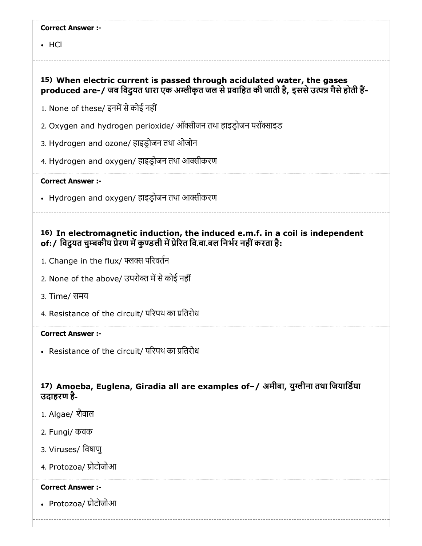• HCl

## 15) When electric current is passed through acidulated water, the gases produced are-/ जब विदुयत धारा एक अम्लीकृत जल से प्रवाहित की जाती है, इससे उत्पन्न गैसे होती हैं-

1. None of these/ इनमें से कोई नहीं

- 2. Oxygen and hydrogen perioxide/ ऑक्सीजन तथा हाइडोजन परॉक्साइड
- 3. Hydrogen and ozone/ हाइडोजन तथा ओजोन
- 4. Hydrogen and oxygen/ हाइड़ोजन तथा आक्सीकरण

#### Correct Answer :-

• Hydrogen and oxygen/ हाइड़ोजन तथा आर्क्सीकरण

## 16) In electromagnetic induction, the induced e.m.f. in a coil is independent of:/ विदयत चुम्बकीय प्रेरण में कुण्डली में प्रेरित वि.बा.बल निर्भर नहीं करता है:

- 1. Change in the flux/ परवतन
- 2. None of the above/ उपरोक्त में से कोई नहीं
- 3. Time/ समय
- 4. Resistance of the circuit/ परिपथ का प्रतिरोध

#### Correct Answer :-

• Resistance of the circuit/ परिपथ का प्रतिरोध

#### 17) Amoeba, Euglena, Giradia all are examples of–/ अमीबा, युग्लीना तथा जियाडिया उदाहरण है-

- 1. Algae/ शैवाल
- 2. Fungi/ कवक
- 3. Viruses/ िवषाणु
- 4. Protozoa/ प्रोटोजोआ

#### Correct Answer :-

• Protozoa/ प्रोटोजोआ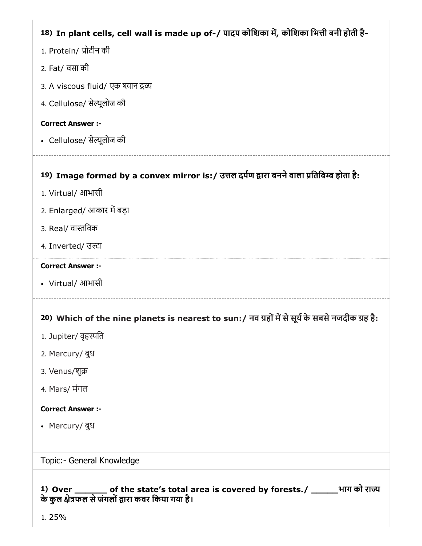# 18) In plant cells, cell wall is made up of-/ पादप कोशिका में, कोशिका भित्ती बनी होती है-

- 1. Protein/ ोटीन की
- 2. Fat/ वसा की
- 3. A viscous fluid/ एक श्यान द्रव्य
- 4. Cellulose/ सेल्यूलोज की

#### Correct Answer :-

• Cellulose/ सेल्यूलोज की

# 19) Image formed by a convex mirror is:/ उत्तल दर्पण द्वारा बनने वाला प्रतिबिम्ब होता है:

- 1. Virtual/ आभासी
- 2. Enlarged/ आकार में बड़ा
- 3. Real/ वास्तविक
- 4. Inverted/ उल्टा

#### Correct Answer :-

Virtual/ आभासी

# 20) Which of the nine planets is nearest to sun:/ नव ग्रहों में से सूर्य के सबसे नजदीक ग्रह है:

- 1. Jupiter/ वृहस्पति
- 2. Mercury/ बुध
- 3. Venus/शु
- 4. Mars/ मंगल

#### Correct Answer :-

Mercury/ बुध

#### Topic:- General Knowledge

#### 1) Over \_\_\_\_\_\_ of the state's total area is covered by forests./ \_\_\_\_\_भाग को रा के कुल क्षेत्रफल से जंगलों द्वारा कवर किया गया है।

1. 25%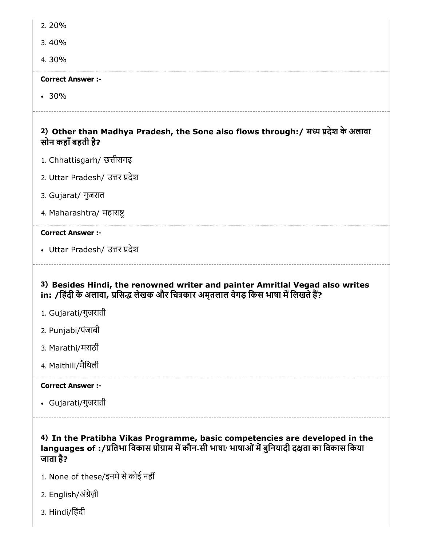- 2. 20%
- 3. 40%
- 4. 30%

 $-30%$ 

# 2) Other than Madhya Pradesh, the Sone also flows through:/ म देश के अलावा

- 1. Chhattisgarh/ छत्तीसगढ
- 2. Uttar Pradesh/ उत्तर प्रदेश
- 3. Gujarat/ गुजरात

सोन कहाँबहती है?

4. Maharashtra/ महारा

#### Correct Answer :-

• Uttar Pradesh/ उत्तर प्रदेश

## 3) Besides Hindi, the renowned writer and painter Amritlal Vegad also writes in: /हिंदी के अलावा, प्रसिद्ध लेखक और चित्रकार अमृतलाल वेगड़ किस भाषा में लिखते हैं?

- 1. Gujarati/गुजराती
- 2. Punjabi/पंजाबी
- 3. Marathi/मराठी
- 4. Maithili/मैिथली

#### Correct Answer :-

Gujarati/गुजराती

## 4) In the Pratibha Vikas Programme, basic competencies are developed in the languages of :/प्रतिभा विकास प्रोग्राम में कौन-सी भाषा/ भाषाओं में बुनियादी दक्षता का विकास किया जाता है?

- 1. None of these/इनमे से कोई नहीं
- 2. English/अंग्रेज़ी
- 3. Hindi/िहंदी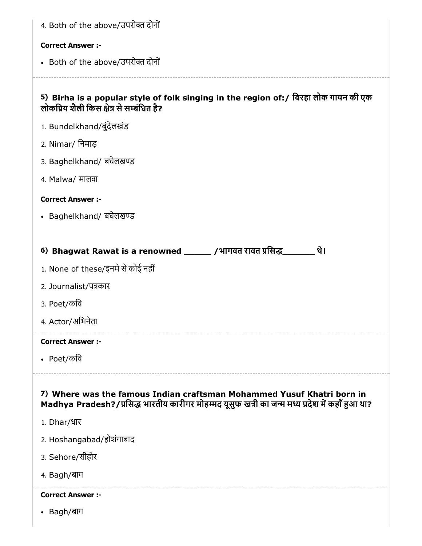| 4. Both of the above/उपरोक्त दोनों                                                                                                                                        |
|---------------------------------------------------------------------------------------------------------------------------------------------------------------------------|
| <b>Correct Answer :-</b>                                                                                                                                                  |
| • Both of the above/उपरोक्त दोनों                                                                                                                                         |
| 5) Birha is a popular style of folk singing in the region of:/ बिरहा लोक गायन की एक<br>लोकप्रिय शैली किस क्षेत्र से सम्बंधित है?                                          |
| 1. Bundelkhand/बुंदेलखंड                                                                                                                                                  |
| 2. Nimar/ निमाड़                                                                                                                                                          |
| 3. Baghelkhand/ बघेलखण्ड                                                                                                                                                  |
| 4. Malwa/ मालवा                                                                                                                                                           |
| <b>Correct Answer :-</b>                                                                                                                                                  |
| • Baghelkhand/ बघेलखण्ड                                                                                                                                                   |
|                                                                                                                                                                           |
| 6) Bhagwat Rawat is a renowned _______ /भागवत रावत प्रसिद्ध________<br>थे।                                                                                                |
| 1. None of these/इनमे से कोई नहीं                                                                                                                                         |
| 2. Journalist/पत्रकार                                                                                                                                                     |
| 3. Poet/कवि                                                                                                                                                               |
| 4. Actor/अभिनेता                                                                                                                                                          |
| <b>Correct Answer :-</b>                                                                                                                                                  |
| • Poet/कवि                                                                                                                                                                |
| 7) Where was the famous Indian craftsman Mohammed Yusuf Khatri born in<br>Madhya Pradesh?/प्रसिद्ध भारतीय कारीगर मोहम्मद यूसुफ खत्री का जन्म मध्य प्रदेश में कहाँ हुआ था? |
| 1. Dhar/धार                                                                                                                                                               |
| 2. Hoshangabad/होशंगाबाद                                                                                                                                                  |
| 3. Sehore/सीहोर                                                                                                                                                           |
| 4. Bagh/बाग                                                                                                                                                               |
| <b>Correct Answer :-</b>                                                                                                                                                  |
| • Bagh/बाग                                                                                                                                                                |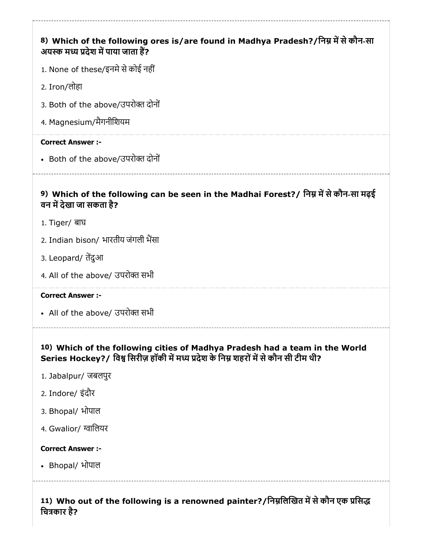# 8) Which of the following ores is/are found in Madhya Pradesh?/निम्न में से कौन-सा 9) Which of the following can be seen in the Madhai Forest?/ निम्न में से कौन-सा मढ़ई 10) Which of the following cities of Madhya Pradesh had a team in the World अयस्क मध्य प्रदेश में पाया जाता हैं? 1. None of these/इनमे से कोई नहीं 2. Iron/लोहा 3. Both of the above/उपरोत दोनों 4. Magnesium/मैगनीिशयम Correct Answer :- • Both of the above/उपरोक्त दोनों वन में देखा जा सकता है? 1. Tiger/ बाघ 2. Indian bison/ भारतीय जंगली भैंसा 3. Leopard/ तदुआ 4. All of the above/ उपरोक्त सभी Correct Answer :- • All of the above/ उपरोक्त सभी Series Hockey?/ विश्व सिरीज़ हॉकी में मध्य प्रदेश के निम्न शहरों में से कौन सी टीम थी? 1. Jabalpur/ जबलपुर 2. Indore/ इंदौर 3. Bhopal/ भोपाल 4. Gwalior/ ग्वालियर Correct Answer :- Bhopal/ भोपाल

11) Who out of the following is a renowned painter?/निम्नलिखित में से कौन एक प्रसिद्ध चित्रकार है?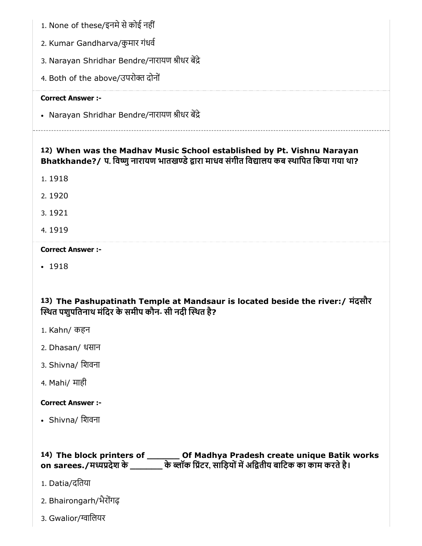- 1. None of these/इनमे से कोई नहीं
- 2. Kumar Gandharva/कुमार गंधव
- 3. Narayan Shridhar Bendre/नारायण श्रीधर बेंद्रे
- 4. Both of the above/उपरोक्त दोनों

• Narayan Shridhar Bendre/नारायण श्रीधर बेंद्रे

# 12) When was the Madhav Music School established by Pt. Vishnu Narayan Bhatkhande?/ प. विष्णु नारायण भातखण्डे द्वारा माधव संगीत विद्यालय कब स्थापित किया गया था?

- 1. 1918
- 2. 1920
- 3. 1921
- 4. 1919

#### Correct Answer :-

• 1918

# 13) The Pashupatinath Temple at Mandsaur is located beside the river:/ मंदसौर स्थित पशुपतिनाथ मंदिर के समीप कौन- सी नदी स्थित है?

- 1. Kahn/ कहन
- 2. Dhasan/ धसान
- 3. Shivna/ िशवना
- 4. Mahi/ माही

#### Correct Answer :-

• Shivna/ शिवना

# 14) The block printers of \_\_\_\_\_\_ Of Madhya Pradesh create unique Batik works on sarees./मध्यप्रदेश के \_\_\_\_\_\_\_\_ के ब्लॉक प्रिंटर, साड़ियों में अद्वितीय बाटिक का काम करते है।

- 1. Datia/दितया
- 2. Bhairongarh/भैरोंगढ
- 3. Gwalior/ग्वालियर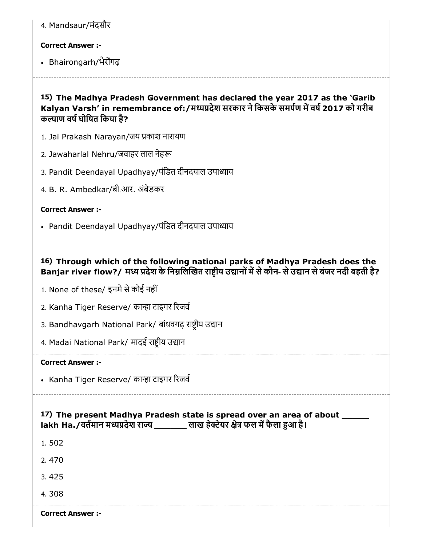| 4. Mandsaur/मंदसौर |  |
|--------------------|--|
|                    |  |
|                    |  |

• Bhairongarh/भैरोंगढ

15) The Madhya Pradesh Government has declared the year 2017 as the 'Garib Kalyan Varsh' in remembrance of:/मध्यप्रदेश सरकार ने किसके समर्पण में वर्ष 2017 को गरीब कल्याण वर्ष घोषित किया है?

- 1. Jai Prakash Narayan/जय काश नारायण
- 2. Jawaharlal Nehru/जवाहर लाल नेह
- 3. Pandit Deendayal Upadhyay/पंडित दीनदयाल उपाध्याय
- 4. B. R. Ambedkar/बी.आर. अंबेडकर

#### Correct Answer :-

• Pandit Deendayal Upadhyay/पंडित दीनदयाल उपाध्याय

## 16) Through which of the following national parks of Madhya Pradesh does the Banjar river flow?/ मध्य प्रदेश के निम्नलिखित राष्टीय उद्यानों में से कौन- से उद्यान से बंजर नदी बहती है?

- 1. None of these/ इनमे से कोई नहीं
- 2. Kanha Tiger Reserve/ कान्हा टाइगर रिजर्व
- 3. Bandhavgarh National Park/ बांधवगढ़ राष्ट्रीय उद्यान
- 4. Madai National Park/ मादई राष्ट्रीय उद्यान

#### Correct Answer :-

• Kanha Tiger Reserve/ कान्हा टाइगर रिजर्व

17) The present Madhya Pradesh state is spread over an area of about \_\_\_\_\_ lakh Ha./वर्तमान मध्यप्रदेश राज्य \_\_\_\_\_\_\_ लाख हेक्टेयर क्षेत्र फल में फैला हुआ है।

1. 502

2. 470

3. 425

4. 308

Correct Answer :-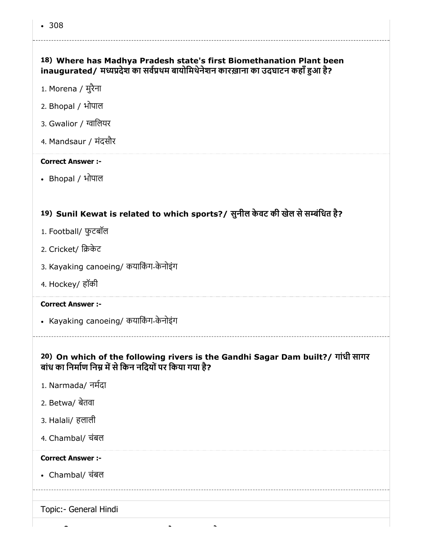# 18) Where has Madhya Pradesh state's first Biomethanation Plant been inaugurated/ मध्यप्रदेश का सर्वप्रथम बायोमिथेनेशन कारख़ाना का उदघाटन कहाँ हुआ है?

- 1. Morena / मुरैना
- 2. Bhopal / भोपाल
- 3. Gwalior / ग्वालियर
- 4. Mandsaur / मंदसौर

#### Correct Answer :-

Bhopal / भोपाल

#### 19) Sunil Kewat is related to which sports?/ सुनील केवट की खेल सेसंिधत है?

- 1. Football/ फुटबॉल
- 2. Cricket/ िकेट
- 3. Kayaking canoeing/ कयाकिंग-केनोइंग
- 4. Hockey/ हॉकी

#### Correct Answer :-

- Kayaking canoeing/ कयार्किंग-केनोइंग
	-

#### 20) On which of the following rivers is the Gandhi Sagar Dam built?/ गांधी सागर बांध का निर्माण निम्न में से किन नदियों पर किया गया है?

- 1. Narmada/ नमदा
- 2. Betwa/ बेतवा
- 3. Halali/ हलाली
- 4. Chambal/ चंबल

#### Correct Answer :-

Chambal/ चंबल

Topic:- General Hindi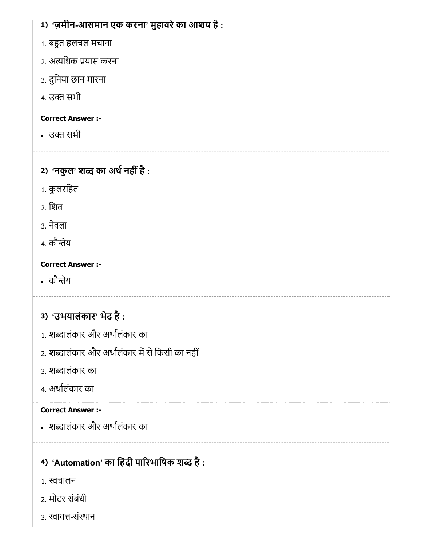| 1) 'ज़मीन-आसमान एक करना' मुहावरे का आशय है :    |
|-------------------------------------------------|
| 1. बहुत हलचल मचाना                              |
| 2. अत्यधिक प्रयास करना                          |
| ३. दुनिया छान मारना                             |
| 4. उक्त सभी                                     |
| <b>Correct Answer :-</b>                        |
| • उक्त सभी                                      |
| 2) 'नकुल' शब्द का अर्थ नहीं है:                 |
| 1. कुलरहित                                      |
| 2. शिव                                          |
| 3. नेवला                                        |
| 4. कौन्तेय                                      |
| <b>Correct Answer :-</b>                        |
| • कौन्तेय                                       |
| 3) 'उभयालंकार' भेद है:                          |
| 1. शब्दालंकार और अर्थालंकार का                  |
| 2. शब्दालंकार और अर्थालंकार में से किसी का नहीं |
| ३. शब्दालंकार का                                |
| 4. अर्थालंकार का                                |
| <b>Correct Answer :-</b>                        |
| • शब्दालंकार और अर्थालंकार का                   |
| 4) 'Automation' का हिंदी पारिभाषिक शब्द है:     |
| 1. स्वचालन                                      |
| 2. मोटर संबंधी                                  |
|                                                 |

3. स्वायत्त-संस्थान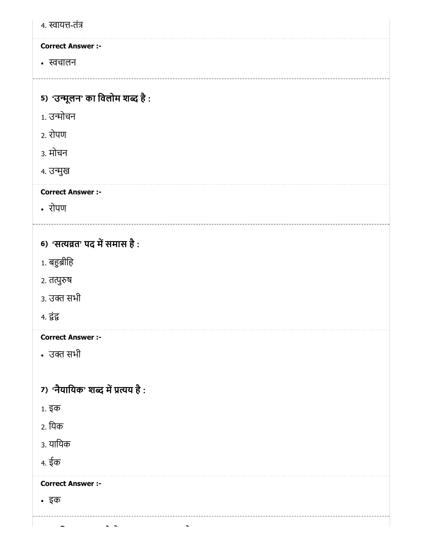| 4. स्वायत्त-तंत्र                 |
|-----------------------------------|
| <b>Correct Answer :-</b>          |
| • स्वचालन                         |
|                                   |
| 5) 'उन्मूलन' का विलोम शब्द है:    |
| 1. उन्मोचन                        |
| 2. रोपण                           |
| 3. मोचन                           |
| ४. उन्मुख                         |
| <b>Correct Answer :-</b>          |
| • रोपण                            |
|                                   |
| 6) 'सत्यव्रत' पद में समास है:     |
| 1. बहुब्रीहि                      |
| २. तत्पुरुष                       |
| 3. उक्त सभी                       |
| 4. द्वंद्व                        |
| <b>Correct Answer :-</b>          |
| • उक्त सभी                        |
|                                   |
| 7) 'नैयायिक' शब्द में प्रत्यय है: |
| 1. इक                             |
| 2. यिक                            |
| 3. यायिक                          |
| 4. ईक                             |
| <b>Correct Answer :-</b>          |
| • इक                              |
|                                   |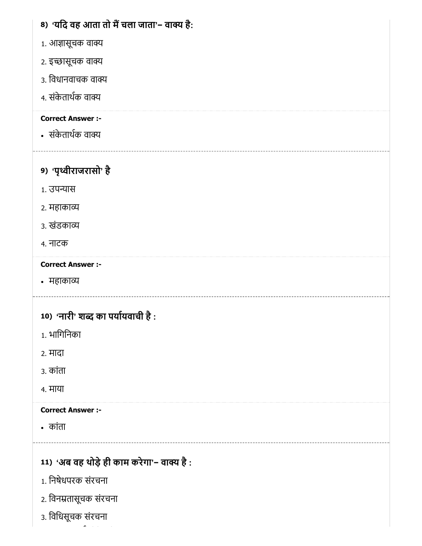# 8) 'यदि वह आता तो मै चला जाता'− वाक्य है:

- 1. आज्ञासूचक वाक्य
- 2. इच्छासूचक वाक्य
- 3. िवधानवाचक वा
- 4. संकेताथक वा

# Correct Answer :-

संकेताथक वा

# 9) 'पृथ्वीराजरासो' है

- 1. उपन्यास
- 2. महाका
- 3. खंडका
- 4. नाटक

# Correct Answer :-

महाका

# 10) 'नारी' शब्द का पर्यायवाची है :

- 1. भािगिनका
- 2. मादा
- 3. कांता
- 4. माया

# Correct Answer :-

- कांता
- 11) 'अब वह थोड़े ही काम करेगा'− वाक्य है :
- 1. िनषेधपरक संरचना
- 2. िवनतासूचक संरचना
- 3. िविधसूचक संरचना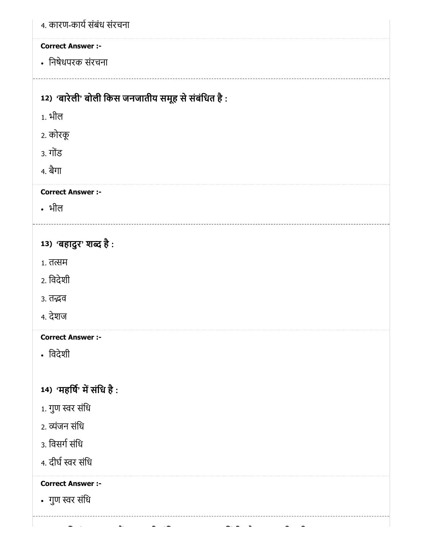| 4. कारण-कार्य संबंध संरचना                        |
|---------------------------------------------------|
| <b>Correct Answer :-</b>                          |
| • निषेधपरक संरचना                                 |
|                                                   |
| 12) 'बारेली' बोली किस जनजातीय समूह से संबंधित है: |
| <u>1. भील</u>                                     |
| 2. कोरकू                                          |
| 3. गोंड                                           |
| 4. बैगा                                           |
| <b>Correct Answer :-</b>                          |
| • भील                                             |
|                                                   |
| 13) 'बहादुर' शब्द है:                             |
| $1.77$ तसम                                        |
| 2. विदेशी                                         |
| ३. तद्भव                                          |
| 4. देशज                                           |
| <b>Correct Answer :-</b>                          |
| • विदेशी                                          |
|                                                   |
| 14) 'महर्षि' में संधि है:                         |
| $1.$ गुण स्वर संधि                                |
| 2. व्यंजन संधि                                    |
| 3. विसर्ग संधि                                    |
| 4. दीर्घ स्वर संधि                                |
| <b>Correct Answer :-</b>                          |
| • गुण स्वर संधि                                   |
|                                                   |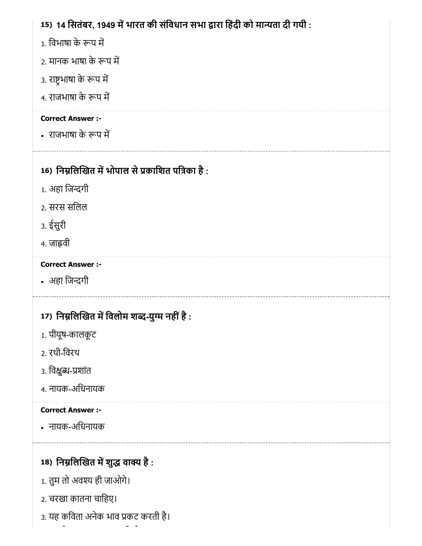# 15) 14 सितंबर, 1949 में भारत की संविधान सभा द्वारा हिंदी को मान्यता दी गयी :

- 1. विभाषा के रूप में
- 2. मानक भाषा के रूप में
- 3. राष्ट्रभाषा के रूप में
- 4. राजभाषा के रूप में

## Correct Answer :-

• राजभाषा के रूप में

# 16) निम्नलिखित में भोपाल से प्रकाशित पत्रिका है :

- 1. अहा जिन्दगी
- 2. सरस सिलल
- 3. ईसुरी
- 4. जावी

# Correct Answer :-

• अहा जिन्दगी

# 17) निर्म्नालेखित में विलोम शब्द-युग्म नहीं है :

- 1. पीयूष-कालकूट
- 2. रथी-िवरथ
- 3. विक्षुब्ध-प्रशांत
- 4. नायक-अिधनायक

# Correct Answer :-

नायक-अिधनायक

# 18) निम्नलिखित में शुद्ध वाक्य है :

- 1. तुम तो अव ही जाओगे।
- 2. चरखा कातना चािहए।
- 3. यह किवता अनेक भाव कट करती है।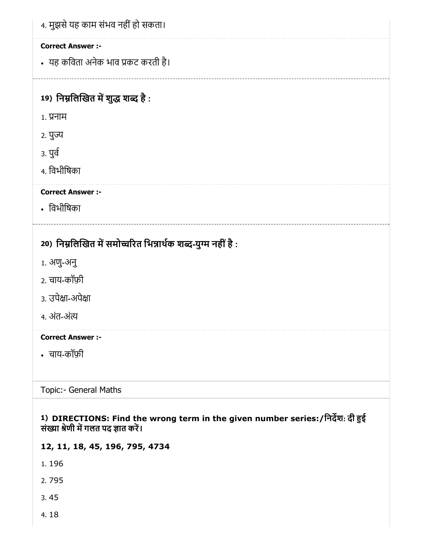| 4. मुझसे यह काम संभव नहीं हो सकता।                                                                                     |
|------------------------------------------------------------------------------------------------------------------------|
| <b>Correct Answer :-</b>                                                                                               |
| • यह कविता अनेक भाव प्रकट करती है।                                                                                     |
|                                                                                                                        |
| 19) निम्नलिखित में शुद्ध शब्द है:                                                                                      |
| 1. प्रनाम                                                                                                              |
| २. पुज्य                                                                                                               |
| ३. पुर्व                                                                                                               |
| 4. विभीषिका                                                                                                            |
| <b>Correct Answer :-</b>                                                                                               |
| • विभीषिका                                                                                                             |
| 20) निम्नलिखित में समोच्चरित भिन्नार्थक शब्द-युग्म नहीं है :                                                           |
| 1. अणु-अनु                                                                                                             |
| 2. चाय-कॉफ़ी                                                                                                           |
| 3. उपेक्षा-अपेक्षा                                                                                                     |
| ४. अंत-अंत्य                                                                                                           |
| <b>Correct Answer :-</b>                                                                                               |
| • चाय-कॉफ़ी                                                                                                            |
| Topic:- General Maths                                                                                                  |
| 1) DIRECTIONS: Find the wrong term in the given number series:/निर्देश: दी हुई<br>संख्या श्रेणी में गलत पद ज्ञात करें। |
| 12, 11, 18, 45, 196, 795, 4734                                                                                         |
| 1.196                                                                                                                  |
| 2.795                                                                                                                  |

- 3. 45
- 4. 18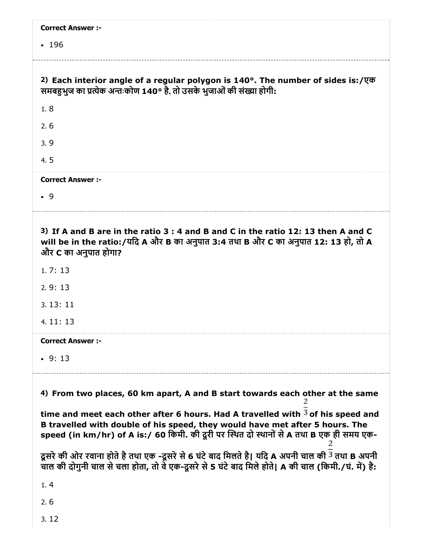| <b>Correct Answer :-</b>                                                                                                                                                                                                                                      |
|---------------------------------------------------------------------------------------------------------------------------------------------------------------------------------------------------------------------------------------------------------------|
| • 196                                                                                                                                                                                                                                                         |
|                                                                                                                                                                                                                                                               |
| 2) Each interior angle of a regular polygon is $140^\circ$ . The number of sides is:/ $\sqrt{q\sigma}$<br>समबहुभुज का प्रत्येक अन्तःकोण 140° है, तो उसके भुजाओं की संख्या होगी:                                                                               |
| 1.8                                                                                                                                                                                                                                                           |
| 2.6                                                                                                                                                                                                                                                           |
| 3.9                                                                                                                                                                                                                                                           |
| 4.5                                                                                                                                                                                                                                                           |
| <b>Correct Answer :-</b>                                                                                                                                                                                                                                      |
| .9                                                                                                                                                                                                                                                            |
|                                                                                                                                                                                                                                                               |
| 3) If A and B are in the ratio 3 : 4 and B and C in the ratio 12: 13 then A and C<br>will be in the ratio:/यदि A और B का अनुपात 3:4 तथा B और C का अनुपात 12: 13 हो, तो A<br>और C का अनुपात होगा?                                                              |
| 1.7:13                                                                                                                                                                                                                                                        |
| 2.9:13                                                                                                                                                                                                                                                        |
| 3.13:11                                                                                                                                                                                                                                                       |
| 4.11:13                                                                                                                                                                                                                                                       |
| <b>Correct Answer :-</b>                                                                                                                                                                                                                                      |
| $\cdot$ 9:13                                                                                                                                                                                                                                                  |
| 4) From two places, 60 km apart, A and B start towards each other at the same                                                                                                                                                                                 |
| time and meet each other after 6 hours. Had A travelled with $3$ of his speed and<br>B travelled with double of his speed, they would have met after 5 hours. The<br>speed (in km/hr) of A is:/ 60 किमी. की दूरी पर स्थित दो स्थानों से A तथा B एक ही समय एक- |
| दूसरे की ओर रवाना होते है तथा एक -दूसरे से 6 घंटे बाद मिलते है। यदि A अपनी चाल की <sup>3</sup> तथा B अपनी<br>चाल की दोगुनी चाल से चला होता, तो वे एक-दूसरे से 5 घंटे बाद मिले होते। A की चाल (किमी./घं. में) है:                                              |
| 1, 4                                                                                                                                                                                                                                                          |
| 2.6                                                                                                                                                                                                                                                           |
| 3.12                                                                                                                                                                                                                                                          |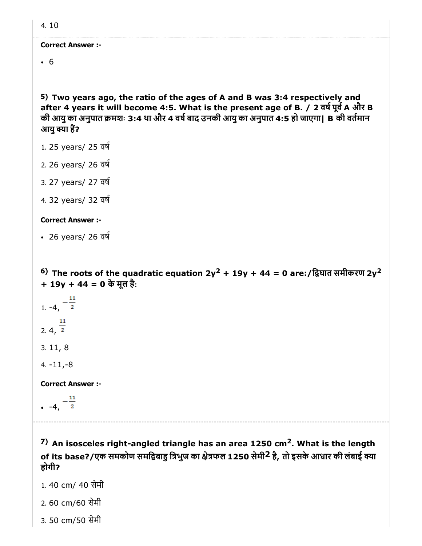6

5) Two years ago, the ratio of the ages of A and B was 3:4 respectively and after 4 years it will become 4:5. What is the present age of B. / 2 वर्ष पूर्व A और B की आयु का अनुपात क्रमशः 3:4 था और 4 वर्ष बाद उनकी आयु का अनुपात 4:5 हो जाएगा। B की वर्तमान आयु क्या हैं?

- 1. 25 years/ 25 वष
- 2. 26 years/ 26 वष
- 3. 27 years/ 27 वष
- 4. 32 years/ 32 वष

#### Correct Answer :-

26 years/ 26 वष

 $^{6)}$  The roots of the quadratic equation 2y $^{2}$  + 19y + 44 = 0 are:/द्विघात समीकरण 2y $^{2}$ + 19y + 44 = 0 के मूल है:

- $\frac{1}{1}$  -4,  $\frac{-11}{2}$ 2.  $4, \frac{11}{2}$ 3. 11, 8
- 4. -11,-8

Correct Answer :-

 $-4, -\frac{11}{2}$ 

<sup>7)</sup> An isosceles right-angled triangle has an area 1250 cm<sup>2</sup>. What is the length of its base?/एक समकोण समद्विबाहु त्रिभुज का क्षेत्रफल 1250 सेमी<sup>2</sup> है, तो इसके आधार की लंबाई क्या होगी?

- 1. 40 cm/ 40 सेमी
- 2. 60 cm/60 सेमी
- 3. 50 cm/50 सेमी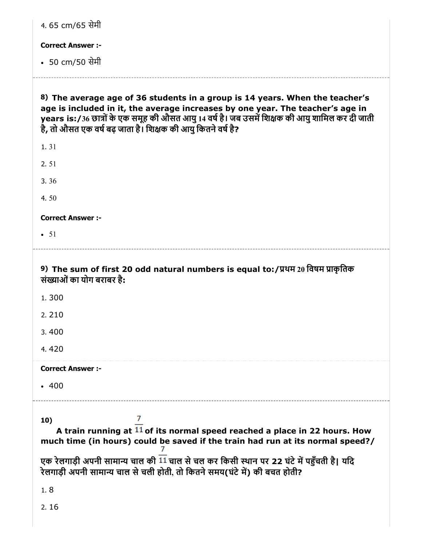| 4.65 cm/65 सेमी                    |                                                                                                                                                                                                                                                                                                                                  |
|------------------------------------|----------------------------------------------------------------------------------------------------------------------------------------------------------------------------------------------------------------------------------------------------------------------------------------------------------------------------------|
| <b>Correct Answer :-</b>           |                                                                                                                                                                                                                                                                                                                                  |
| • 50 cm/50 सेमी                    |                                                                                                                                                                                                                                                                                                                                  |
|                                    | 8) The average age of 36 students in a group is 14 years. When the teacher's<br>age is included in it, the average increases by one year. The teacher's age in<br>years is:/36 छात्रों के एक समूह की औसत आयु 14 वर्ष है। जब उसमें शिक्षक की आयु शामिल कर दी जाती<br>है, तो औसत एक वर्ष बढ़ जाता है। शिक्षक की आयु कितने वर्ष है? |
| 1.31                               |                                                                                                                                                                                                                                                                                                                                  |
| 2.51                               |                                                                                                                                                                                                                                                                                                                                  |
| 3.36                               |                                                                                                                                                                                                                                                                                                                                  |
| 4.50                               |                                                                                                                                                                                                                                                                                                                                  |
| <b>Correct Answer :-</b>           |                                                                                                                                                                                                                                                                                                                                  |
| $\bullet$ 51                       |                                                                                                                                                                                                                                                                                                                                  |
| संख्याओं का योग बराबर है:<br>1.300 | 9) The sum of first 20 odd natural numbers is equal to:/प्रथम 20 विषम प्राकृतिक                                                                                                                                                                                                                                                  |
| 2.210                              |                                                                                                                                                                                                                                                                                                                                  |
| 3.400                              |                                                                                                                                                                                                                                                                                                                                  |
| 4.420                              |                                                                                                                                                                                                                                                                                                                                  |
| <b>Correct Answer:-</b>            |                                                                                                                                                                                                                                                                                                                                  |
| • 400                              |                                                                                                                                                                                                                                                                                                                                  |
| 10)                                | 7<br>A train running at 11 of its normal speed reached a place in 22 hours. How<br>much time (in hours) could be saved if the train had run at its normal speed?/                                                                                                                                                                |
|                                    | एक रेलगाड़ी अपनी सामान्य चाल की 11 चाल से चल कर किसी स्थान पर 22 घंटे में पहुँचती है। यदि<br>रेलगाडी अपनी सामान्य चाल से चली होती, तो कितने समय(घंटे में) की बचत होती?                                                                                                                                                           |
| 1.8                                |                                                                                                                                                                                                                                                                                                                                  |
| 2.16                               |                                                                                                                                                                                                                                                                                                                                  |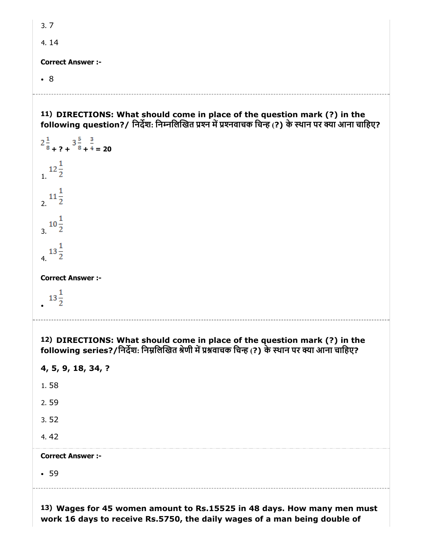3. 7

4. 14

Correct Answer :-

8

- 
- 11) DIRECTIONS: What should come in place of the question mark (?) in the following question?/ निर्देश: निम्नलिखित प्रश्न में प्रश्नवाचक चिन्ह (?) के स्थान पर क्या आना चाहिए?

```
2\frac{1}{8} + ? + 3\frac{5}{8} + \frac{3}{4} = 20
12\frac{1}{2}rac{11}{2}10^{\frac{1}{2}}4.13\frac{1}{2}Correct Answer :-
13\frac{1}{2}12)
DIRECTIONS: What should come in place of the question mark (?) in the
following series?/निर्देश: निम्नलिखित श्रेणी में प्रश्नवाचक चिन्ह (?) के स्थान पर क्या आना चाहिए?
4, 5, 9, 18, 34, ?
1. 58
```
- 2. 59
- 3. 52
- 4. 42

#### Correct Answer :-

• 59

13) Wages for 45 women amount to Rs.15525 in 48 days. How many men must work 16 days to receive Rs.5750, the daily wages of a man being double of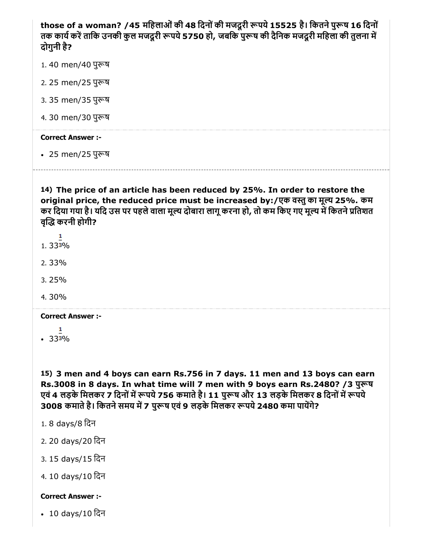those of a woman? /45 महिलाओं की 48 दिनों की मजदूरी रूपये 15525 है। कितने पुरूष 16 दिनों तक कार्य करें ताकि उनकी कुल मजदूरी रूपये 5750 हो, जबकि पुरूष की दैनिक मजदूरी महिला की तुलना में दोगुनी है?

- 1.40 men/40 पुरूष
- 2. 25 men/25 पुष
- 3. 35 men/35 पुष
- 4.30 men/30 पुरूष

#### Correct Answer :-

• 25 men/25 पुरूष

14) The price of an article has been reduced by 25%. In order to restore the original price, the reduced price must be increased by:/एक वतुका मूय 25%. कम कर दिया गया है। यदि उस पर पहले वाला मूल्य दोबारा लागू करना हो, तो कम किए गए मूल्य में कितने प्रतिशत वद्धि करनी होगी?

- $1.333\%$
- 2. 33%
- 3. 25%
- 4. 30%

#### Correct Answer :-

 $-333%$ 

15) 3 men and 4 boys can earn Rs.756 in 7 days. 11 men and 13 boys can earn Rs.3008 in 8 days. In what time will 7 men with 9 boys earn Rs.2480? /3 पुरूष एवं 4 लड़के मिलकर 7 दिनों में रूपये 756 कमाते है। 11 पुरूष और 13 लड़के मिलकर 8 दिनों में रूपये 3008 कमाते है। कितने समय में 7 पुरूष एवं 9 लड़के मिलकर रूपये 2480 कमा पायेंगे?

- 1. 8 days/8 िदन
- 2. 20 days/20 िदन
- 3. 15 days/15 िदन
- 4. 10 days/10 िदन

#### Correct Answer :-

10 days/10 िदन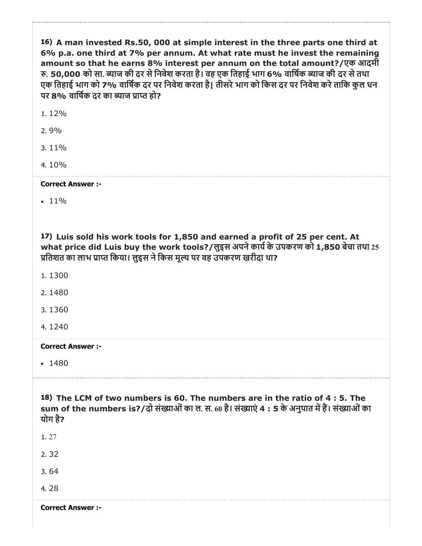| 16) A man invested Rs.50, 000 at simple interest in the three parts one third at<br>6% p.a. one third at 7% per annum. At what rate must he invest the remaining<br>amount so that he earns 8% interest per annum on the total amount?/एक आदमी<br>रु. 50,000 को सा. ब्याज की दर से निवेश करता है। वह एक तिहाई भाग 6% वार्षिक ब्याज की दर से तथा<br>एक तिहाई भाग को 7% वार्षिक दर पर निवेश करता है। तीसरे भाग को किस दर पर निवेश करे ताकि कुल धन<br>पर 8% वार्षिक दर का ब्याज प्राप्त हो?<br>1.12%<br>2.9% |
|-----------------------------------------------------------------------------------------------------------------------------------------------------------------------------------------------------------------------------------------------------------------------------------------------------------------------------------------------------------------------------------------------------------------------------------------------------------------------------------------------------------|
| 3.11%                                                                                                                                                                                                                                                                                                                                                                                                                                                                                                     |
| 4.10%                                                                                                                                                                                                                                                                                                                                                                                                                                                                                                     |
| <b>Correct Answer :-</b>                                                                                                                                                                                                                                                                                                                                                                                                                                                                                  |
| $\cdot$ 11%                                                                                                                                                                                                                                                                                                                                                                                                                                                                                               |
| 17) Luis sold his work tools for 1,850 and earned a profit of 25 per cent. At<br>what price did Luis buy the work tools?/लुइस अपने कार्य के उपकरण को 1,850 बेचा तथा 25<br>प्रतिशत का लाभ प्राप्त किया। लुइस ने किस मूल्य पर वह उपकरण खरीदा था?                                                                                                                                                                                                                                                            |
| 1.1300                                                                                                                                                                                                                                                                                                                                                                                                                                                                                                    |
| 2.1480                                                                                                                                                                                                                                                                                                                                                                                                                                                                                                    |
| 3.1360                                                                                                                                                                                                                                                                                                                                                                                                                                                                                                    |
| 4.1240                                                                                                                                                                                                                                                                                                                                                                                                                                                                                                    |
| <b>Correct Answer :-</b>                                                                                                                                                                                                                                                                                                                                                                                                                                                                                  |
| $-1480$                                                                                                                                                                                                                                                                                                                                                                                                                                                                                                   |
| 18) The LCM of two numbers is 60. The numbers are in the ratio of 4 : 5. The<br>sum of the numbers is?/दो संख्याओं का ल. स. 60 है। संख्याएं 4 : 5 के अनुपात में हैं। संख्याओं का<br>योग है?                                                                                                                                                                                                                                                                                                               |
| 1.27                                                                                                                                                                                                                                                                                                                                                                                                                                                                                                      |
| 2.32                                                                                                                                                                                                                                                                                                                                                                                                                                                                                                      |
| 3.64                                                                                                                                                                                                                                                                                                                                                                                                                                                                                                      |
| 4.28                                                                                                                                                                                                                                                                                                                                                                                                                                                                                                      |
| <b>Correct Answer :-</b>                                                                                                                                                                                                                                                                                                                                                                                                                                                                                  |